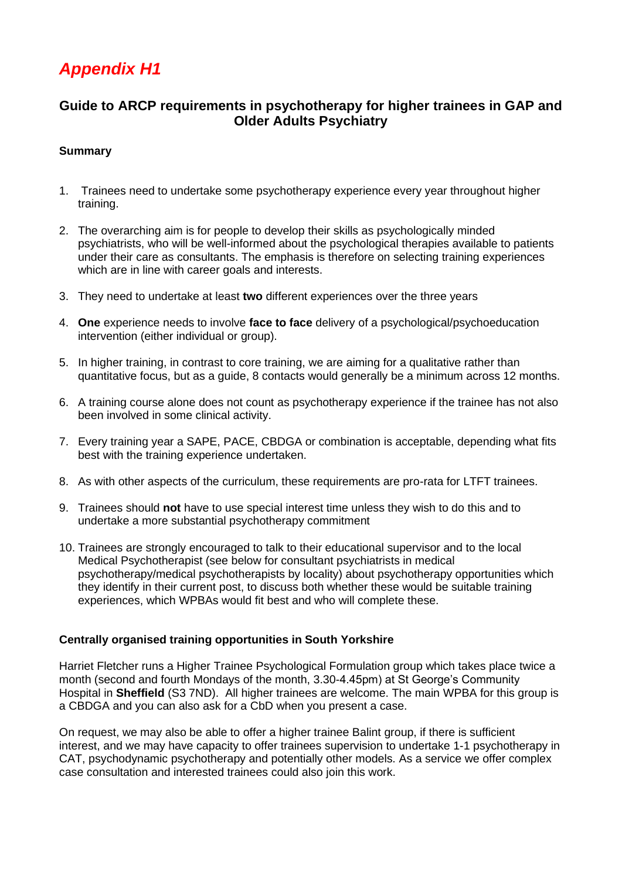# *Appendix H1*

## **Guide to ARCP requirements in psychotherapy for higher trainees in GAP and Older Adults Psychiatry**

### **Summary**

- 1. Trainees need to undertake some psychotherapy experience every year throughout higher training.
- 2. The overarching aim is for people to develop their skills as psychologically minded psychiatrists, who will be well-informed about the psychological therapies available to patients under their care as consultants. The emphasis is therefore on selecting training experiences which are in line with career goals and interests.
- 3. They need to undertake at least **two** different experiences over the three years
- 4. **One** experience needs to involve **face to face** delivery of a psychological/psychoeducation intervention (either individual or group).
- 5. In higher training, in contrast to core training, we are aiming for a qualitative rather than quantitative focus, but as a guide, 8 contacts would generally be a minimum across 12 months.
- 6. A training course alone does not count as psychotherapy experience if the trainee has not also been involved in some clinical activity.
- 7. Every training year a SAPE, PACE, CBDGA or combination is acceptable, depending what fits best with the training experience undertaken.
- 8. As with other aspects of the curriculum, these requirements are pro-rata for LTFT trainees.
- 9. Trainees should **not** have to use special interest time unless they wish to do this and to undertake a more substantial psychotherapy commitment
- 10. Trainees are strongly encouraged to talk to their educational supervisor and to the local Medical Psychotherapist (see below for consultant psychiatrists in medical psychotherapy/medical psychotherapists by locality) about psychotherapy opportunities which they identify in their current post, to discuss both whether these would be suitable training experiences, which WPBAs would fit best and who will complete these.

#### **Centrally organised training opportunities in South Yorkshire**

Harriet Fletcher runs a Higher Trainee Psychological Formulation group which takes place twice a month (second and fourth Mondays of the month, 3.30-4.45pm) at St George's Community Hospital in **Sheffield** (S3 7ND). All higher trainees are welcome. The main WPBA for this group is a CBDGA and you can also ask for a CbD when you present a case.

On request, we may also be able to offer a higher trainee Balint group, if there is sufficient interest, and we may have capacity to offer trainees supervision to undertake 1-1 psychotherapy in CAT, psychodynamic psychotherapy and potentially other models. As a service we offer complex case consultation and interested trainees could also join this work.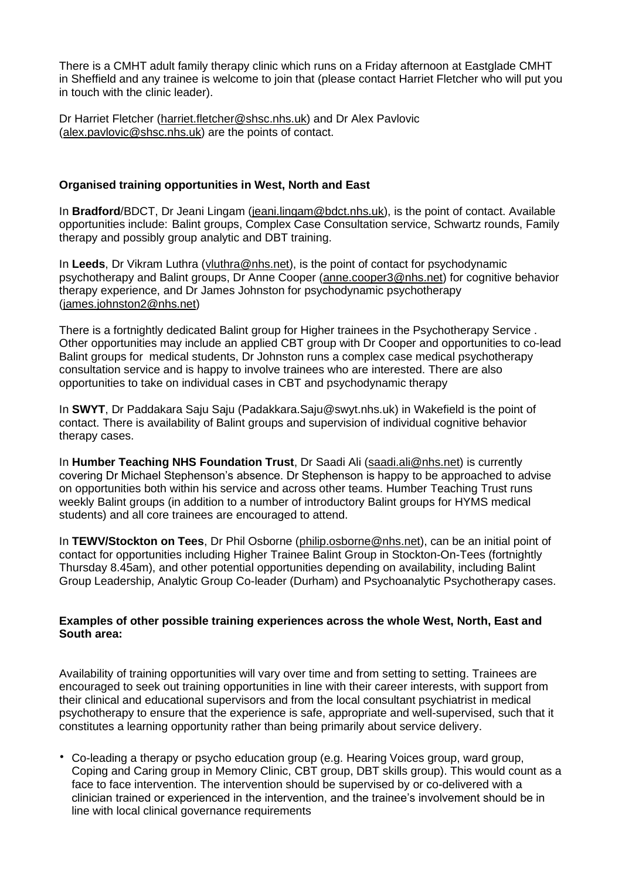There is a CMHT adult family therapy clinic which runs on a Friday afternoon at Eastglade CMHT in Sheffield and any trainee is welcome to join that (please contact Harriet Fletcher who will put you in touch with the clinic leader).

Dr Harriet Fletcher [\(harriet.fletcher@shsc.nhs.uk\)](mailto:harriet.fletcher@shsc.nhs.uk) and Dr Alex Pavlovic [\(alex.pavlovic@shsc.nhs.uk\)](mailto:alex.pavlovic@shsc.nhs.uk) are the points of contact.

#### **Organised training opportunities in West, North and East**

In **Bradford**/BDCT, Dr Jeani Lingam [\(jeani.lingam@bdct.nhs.uk\)](mailto:jeani.lingam@bdct.nhs.uk), is the point of contact. Available opportunities include: Balint groups, Complex Case Consultation service, Schwartz rounds, Family therapy and possibly group analytic and DBT training.

In Leeds, Dr Vikram Luthra [\(vluthra@nhs.net\)](mailto:vluthra@nhs.net), is the point of contact for psychodynamic psychotherapy and Balint groups, Dr Anne Cooper [\(anne.cooper3@nhs.net\)](mailto:anne.cooper3@nhs.net) for cognitive behavior therapy experience, and Dr James Johnston for psychodynamic psychotherapy [\(james.johnston2@nhs.net\)](mailto:james.johnston2@nhs.net)

There is a fortnightly dedicated Balint group for Higher trainees in the Psychotherapy Service . Other opportunities may include an applied CBT group with Dr Cooper and opportunities to co-lead Balint groups for medical students, Dr Johnston runs a complex case medical psychotherapy consultation service and is happy to involve trainees who are interested. There are also opportunities to take on individual cases in CBT and psychodynamic therapy

In **SWYT**, Dr Paddakara Saju Saju (Padakkara.Saju@swyt.nhs.uk) in Wakefield is the point of contact. There is availability of Balint groups and supervision of individual cognitive behavior therapy cases.

In **Humber Teaching NHS Foundation Trust**, Dr Saadi Ali [\(saadi.ali@nhs.net\)](mailto:saadi.ali@nhs.net) is currently covering Dr Michael Stephenson's absence. Dr Stephenson is happy to be approached to advise on opportunities both within his service and across other teams. Humber Teaching Trust runs weekly Balint groups (in addition to a number of introductory Balint groups for HYMS medical students) and all core trainees are encouraged to attend.

In **TEWV/Stockton on Tees**, Dr Phil Osborne [\(philip.osborne@nhs.net\)](mailto:philip.osborne@nhs.net), can be an initial point of contact for opportunities including Higher Trainee Balint Group in Stockton-On-Tees (fortnightly Thursday 8.45am), and other potential opportunities depending on availability, including Balint Group Leadership, Analytic Group Co-leader (Durham) and Psychoanalytic Psychotherapy cases.

#### **Examples of other possible training experiences across the whole West, North, East and South area:**

Availability of training opportunities will vary over time and from setting to setting. Trainees are encouraged to seek out training opportunities in line with their career interests, with support from their clinical and educational supervisors and from the local consultant psychiatrist in medical psychotherapy to ensure that the experience is safe, appropriate and well-supervised, such that it constitutes a learning opportunity rather than being primarily about service delivery.

• Co-leading a therapy or psycho education group (e.g. Hearing Voices group, ward group, Coping and Caring group in Memory Clinic, CBT group, DBT skills group). This would count as a face to face intervention. The intervention should be supervised by or co-delivered with a clinician trained or experienced in the intervention, and the trainee's involvement should be in line with local clinical governance requirements